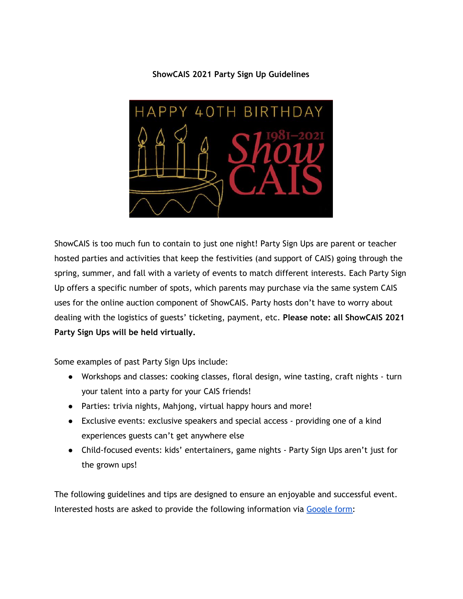### **ShowCAIS 2021 Party Sign Up Guidelines**



ShowCAIS is too much fun to contain to just one night! Party Sign Ups are parent or teacher hosted parties and activities that keep the festivities (and support of CAIS) going through the spring, summer, and fall with a variety of events to match different interests. Each Party Sign Up offers a specific number of spots, which parents may purchase via the same system CAIS uses for the online auction component of ShowCAIS. Party hosts don't have to worry about dealing with the logistics of guests' ticketing, payment, etc. **Please note: all ShowCAIS 2021 Party Sign Ups will be held virtually.**

Some examples of past Party Sign Ups include:

- Workshops and classes: cooking classes, floral design, wine tasting, craft nights turn your talent into a party for your CAIS friends!
- Parties: trivia nights, Mahjong, virtual happy hours and more!
- Exclusive events: exclusive speakers and special access providing one of a kind experiences guests can't get anywhere else
- Child-focused events: kids' entertainers, game nights Party Sign Ups aren't just for the grown ups!

The following guidelines and tips are designed to ensure an enjoyable and successful event. Interested hosts are asked to provide the following information via [Google](https://forms.gle/rpx6vipYXmyXL6Bg6) form: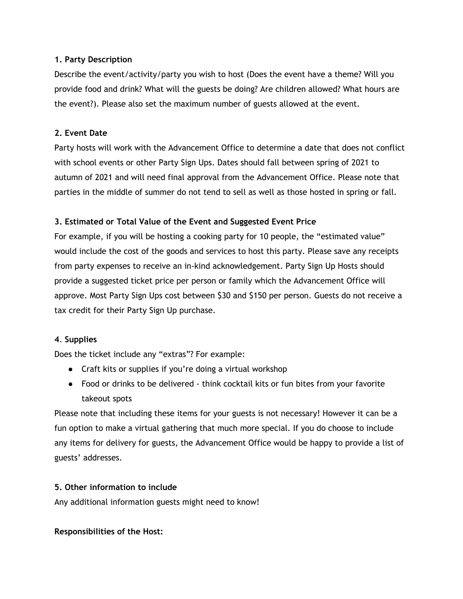#### **1. Party Description**

Describe the event/activity/party you wish to host (Does the event have a theme? Will you provide food and drink? What will the guests be doing? Are children allowed? What hours are the event?). Please also set the maximum number of guests allowed at the event.

### **2. Event Date**

Party hosts will work with the Advancement Office to determine a date that does not conflict with school events or other Party Sign Ups. Dates should fall between spring of 2021 to autumn of 2021 and will need final approval from the Advancement Office. Please note that parties in the middle of summer do not tend to sell as well as those hosted in spring or fall.

# **3. Estimated or Total Value of the Event and Suggested Event Price**

For example, if you will be hosting a cooking party for 10 people, the "estimated value" would include the cost of the goods and services to host this party. Please save any receipts from party expenses to receive an in-kind acknowledgement. Party Sign Up Hosts should provide a suggested ticket price per person or family which the Advancement Office will approve. Most Party Sign Ups cost between \$30 and \$150 per person. Guests do not receive a tax credit for their Party Sign Up purchase.

# **4**. **Supplies**

Does the ticket include any "extras"? For example:

- Craft kits or supplies if you're doing a virtual workshop
- Food or drinks to be delivered think cocktail kits or fun bites from your favorite takeout spots

Please note that including these items for your guests is not necessary! However it can be a fun option to make a virtual gathering that much more special. If you do choose to include any items for delivery for guests, the Advancement Office would be happy to provide a list of guests' addresses.

# **5. Other information to include**

Any additional information guests might need to know!

#### **Responsibilities of the Host:**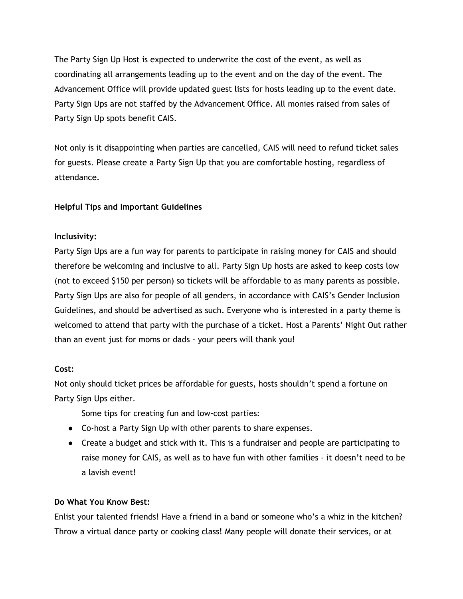The Party Sign Up Host is expected to underwrite the cost of the event, as well as coordinating all arrangements leading up to the event and on the day of the event. The Advancement Office will provide updated guest lists for hosts leading up to the event date. Party Sign Ups are not staffed by the Advancement Office. All monies raised from sales of Party Sign Up spots benefit CAIS.

Not only is it disappointing when parties are cancelled, CAIS will need to refund ticket sales for guests. Please create a Party Sign Up that you are comfortable hosting, regardless of attendance.

# **Helpful Tips and Important Guidelines**

# **Inclusivity:**

Party Sign Ups are a fun way for parents to participate in raising money for CAIS and should therefore be welcoming and inclusive to all. Party Sign Up hosts are asked to keep costs low (not to exceed \$150 per person) so tickets will be affordable to as many parents as possible. Party Sign Ups are also for people of all genders, in accordance with CAIS's Gender Inclusion Guidelines, and should be advertised as such. Everyone who is interested in a party theme is welcomed to attend that party with the purchase of a ticket. Host a Parents' Night Out rather than an event just for moms or dads - your peers will thank you!

# **Cost:**

Not only should ticket prices be affordable for guests, hosts shouldn't spend a fortune on Party Sign Ups either.

Some tips for creating fun and low-cost parties:

- Co-host a Party Sign Up with other parents to share expenses.
- Create a budget and stick with it. This is a fundraiser and people are participating to raise money for CAIS, as well as to have fun with other families - it doesn't need to be a lavish event!

# **Do What You Know Best:**

Enlist your talented friends! Have a friend in a band or someone who's a whiz in the kitchen? Throw a virtual dance party or cooking class! Many people will donate their services, or at